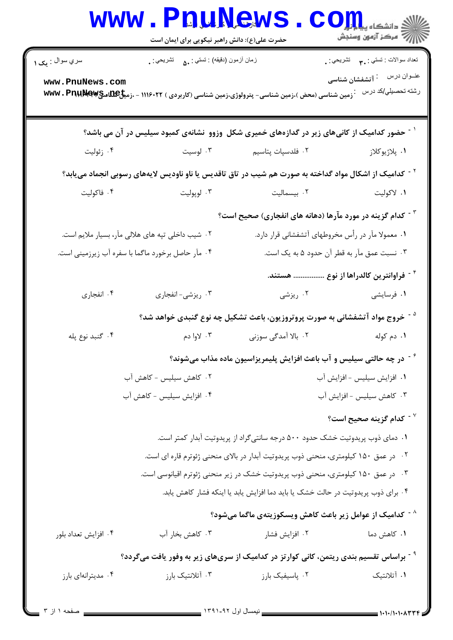|                                                                                                  | <b>WWW.PRUNEWS</b><br>حضرت علی(ع): دانش راهبر نیکویی برای ایمان است                 |                                                                                                                    | $\mathbf{CO}_{\mathbf{H}}$ انشڪاه پيا<br>أأآت مركز آزمون وسنجش |  |  |
|--------------------------------------------------------------------------------------------------|-------------------------------------------------------------------------------------|--------------------------------------------------------------------------------------------------------------------|----------------------------------------------------------------|--|--|
| سري سوال : يک ۱                                                                                  | زمان أزمون (دقيقه) : تستي : ۵۰       تشريحي : .                                     |                                                                                                                    | تعداد سوالات : تستي : ٣ <b>.</b> تشريحي : .                    |  |  |
| www.PnuNews.com                                                                                  |                                                                                     | . زمین شناسی (محض )،زمین شناسی- پترولوژی،زمین شناسی (کاربردی ) ۱۱۱۶۰۲۲ - ،زم <b>یخጨ</b> یپ¶ <b>www . Pnu)Mew</b>   | رشته تحصيلي/كد درس                                             |  |  |
|                                                                                                  |                                                                                     | <sup>۱ -</sup> حضور کدامیک از کانیهای زیر در گدازههای خمیری شکل وزوو نشانهی کمبود سیلیس در آن می باشد؟             |                                                                |  |  |
| ۰۴ زئوليت                                                                                        | ۰۳ لوسیت                                                                            | ۰۲ فلدسپات پتاسیم                                                                                                  | ١. پلاژيوکلاز                                                  |  |  |
|                                                                                                  |                                                                                     | <sup>۲ -</sup> کدامیک از اشکال مواد گداخته به صورت هم شیب در تاق تاقدیس یا ناو ناودیس لایههای رسوبی انجماد مییابد؟ |                                                                |  |  |
| ۰۴ فاکولیت                                                                                       | ۰۳ لوپوليت                                                                          | ۲. بیسمالیت                                                                                                        | ۰۱ لاکولیت                                                     |  |  |
|                                                                                                  |                                                                                     | <sup>۳ -</sup> کدام گزینه در مورد مآرها (دهانه های انفجاری) صحیح است؟                                              |                                                                |  |  |
| ۰۲ شیب داخلی تپه های هلالی مآر، بسیار ملایم است.                                                 |                                                                                     | ۰۱ معمولا مآر در رأس مخروطهای آتشفشانی قرار دارد.                                                                  |                                                                |  |  |
| ۰۴ مآر حاصل برخورد ماگما با سفره آب زیرزمینی است.                                                |                                                                                     | ۰۳ نسبت عمق مآر به قطر آن حدود ۵ به یک است.                                                                        |                                                                |  |  |
|                                                                                                  |                                                                                     |                                                                                                                    | <sup>۴ -</sup> فراوانترین کالدراها از نوع  هستند.              |  |  |
| ۰۴ انفجاري                                                                                       | ۰۳ ریزشی- انفجاری                                                                   |                                                                                                                    |                                                                |  |  |
|                                                                                                  |                                                                                     | <sup>۵ -</sup> خروج مواد آتشفشانی به صورت پروتروزیون، باعث تشکیل چه نوع گنبدی خواهد شد؟                            |                                                                |  |  |
| ۰۴ گنبد نوع پله                                                                                  | ۰۳ لاوا دم                                                                          | ۰۲ بالا آمدگی سوزنی                                                                                                | ۰۱ دم کوله                                                     |  |  |
| در چه حالتی سیلیس و آب باعث افزایش پلیمریزاسیون ماده مذاب میشوند؟                                |                                                                                     |                                                                                                                    |                                                                |  |  |
| ۰۲ کاهش سیلیس - کاهش آب                                                                          |                                                                                     | ٠١ افزايش سيليس - افزايش آب                                                                                        |                                                                |  |  |
| ۰۴ افزایش سیلیس - کاهش آب                                                                        |                                                                                     | ۰۳ کاهش سیلیس - افزایش آب                                                                                          |                                                                |  |  |
|                                                                                                  |                                                                                     |                                                                                                                    | کدام گزینه صحیح است؟ $^{\vee}$                                 |  |  |
|                                                                                                  |                                                                                     | ۰۱ دمای ذوب پریدوتیت خشک حدود ۵۰۰ درجه سانتیگراد از پریدوتیت آبدار کمتر است.                                       |                                                                |  |  |
|                                                                                                  | ۰۲ در عمق ۱۵۰ کیلومتری، منحنی ذوب پریدوتیت آبدار در بالای منحنی ژئوترم قاره ای است. |                                                                                                                    |                                                                |  |  |
|                                                                                                  | ۰۳ در عمق ۱۵۰ کیلومتری، منحنی ذوب پریدوتیت خشک در زیر منحنی ژئوترم اقیانوسی است.    |                                                                                                                    |                                                                |  |  |
|                                                                                                  |                                                                                     | ۰۴ برای ذوب پریدوتیت در حالت خشک یا باید دما افزایش یابد یا اینکه فشار کاهش یابد.                                  |                                                                |  |  |
|                                                                                                  |                                                                                     | <sup>^ -</sup> كداميك از عوامل زير باعث كاهش ويسكوزيتهى ماگما مىشود؟                                               |                                                                |  |  |
| ۰۴ افزايش تعداد بلور                                                                             | ۰۳ کاهش بخار آب                                                                     | ۰۲ افزایش فشار                                                                                                     | ٠١. كاهش دما                                                   |  |  |
| <sup>۹ -</sup> براساس تقسیم بندی ریتمن، کانی کوارتز در کدامیک از سریهای زیر به وفور یافت میگردد؟ |                                                                                     |                                                                                                                    |                                                                |  |  |
| ۰۴ مدیترانهای بارز                                                                               | ۰۳ آتلانتیک بارز                                                                    | ۰۲ پاسیفیک بارز                                                                                                    | ١. أتلانتيك                                                    |  |  |
|                                                                                                  |                                                                                     |                                                                                                                    |                                                                |  |  |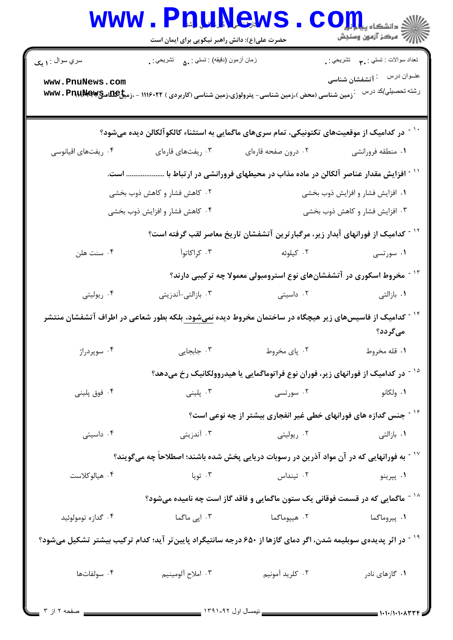|                                                                                                                            | www.PnuNews<br>حضرت علی(ع): دانش راهبر نیکویی برای ایمان است |                                                                                                                            | /W مرکز آزمون وسنجش                             |  |  |
|----------------------------------------------------------------------------------------------------------------------------|--------------------------------------------------------------|----------------------------------------------------------------------------------------------------------------------------|-------------------------------------------------|--|--|
| سري سوال : ۱ يک                                                                                                            | زمان أزمون (دقيقه) : تستي : ۵۰ $\Delta$ تشريحي : .           |                                                                                                                            | نعداد سوالات : نستي : ٣ <b>. سي</b> انشريحي : . |  |  |
| www.PnuNews.com                                                                                                            |                                                              | . زمین شناسی (محض )،زمین شناسی- پترولوژی،زمین شناسی (کاربردی ) ۱۱۱۶۰۲۲ - ،زمی <del>ل MS</del> W و WWW . PnuMer             | رشته تحصيل <i>ي </i> كد درس                     |  |  |
| <sup>۱۰ -</sup> در کدامیک از موقعیتهای تکتونیکی، تمام سریهای ماگمایی به استثناء کالکو آلکالن دیده میشود؟                   |                                                              |                                                                                                                            |                                                 |  |  |
| ۰۴ ریفتهای اقیانوسی                                                                                                        | ۰۳ ریفتهای قارهای                                            | ۰۲ درون صفحه قارهای                                                                                                        | ۰۱ منطقه فرورانشي                               |  |  |
|                                                                                                                            |                                                              | <sup>۱۱ -</sup> افزایش مقدار عناصر آلکالن در ماده مذاب در محیطهای فرورانشی در ارتباط با  است.                              |                                                 |  |  |
|                                                                                                                            | ۰۲ کاهش فشار و کاهش ذوب بخشی                                 | ۰۱ افزایش فشار و افزایش ذوب بخشی                                                                                           |                                                 |  |  |
|                                                                                                                            | ۰۴ کاهش فشار و افزایش ذوب بخشی                               | ۰۳ افزایش فشار و کاهش ذوب بخشی                                                                                             |                                                 |  |  |
|                                                                                                                            |                                                              | <sup>۱۲ -</sup> کدامیک از فورانهای آبدار زیر، مرگبارترین آتشفشان تاریخ معاصر لقب گرفته است؟                                |                                                 |  |  |
| ۰۴ سنت هلن                                                                                                                 |                                                              | ۰۱ سورتسی سال ۲۰۰ کیلوئه میسی سال ۲۰۰ کراکاتوآ                                                                             |                                                 |  |  |
|                                                                                                                            |                                                              | <sup>۱۳ -</sup> مخروط اسکوری در آتشفشانهای نوع استرومبولی معمولا چه ترکیبی دارند؟                                          |                                                 |  |  |
| ۰۴ ریولیتی                                                                                                                 | ۰۳ بازالتی-آندزیتی                                           | ۰۲ داسیتی                                                                                                                  | ۰۱ بازالتی                                      |  |  |
|                                                                                                                            |                                                              | <sup>۱۴ -</sup> کدامیک از فاسیسهای زیر هیچگاه در ساختمان مخروط دیده <u>نمیشود، ب</u> لکه بطور شعاعی در اطراف آتشفشان منتشر | میگردد؟                                         |  |  |
| ۰۴ سوپردراژ                                                                                                                | ۰۳ جابجایی                                                   | ۰۲ پای مخروط                                                                                                               | ١. قله مخروط                                    |  |  |
|                                                                                                                            |                                                              | <sup>۱۵ -</sup> در کدامیک از فورانهای زیر، فوران نوع فراتوماگمایی یا هیدروولکانیک رخ میدهد؟                                |                                                 |  |  |
| ۰۴ فوق پلینی                                                                                                               | ۰۳ پلینی                                                     | ۰۲ سورتسی                                                                                                                  | ۰۱ ولکانو                                       |  |  |
|                                                                                                                            |                                                              | <sup>۱۶ -</sup> جنس گدازه های فورانهای خطی غیر انفجاری بیشتر از چه نوعی است؟                                               |                                                 |  |  |
| ۰۴ داسیتی                                                                                                                  | ۰۳ آندزیتی                                                   | ۰۲ ریولیتی                                                                                                                 | ۰۱ بازالتی                                      |  |  |
| ٔ ' - به فورانهایی که در آن مواد آذرین در رسوبات دریایی پخش شده باشند؛ اصطلاحا چه میگویند؟                                 |                                                              |                                                                                                                            |                                                 |  |  |
| ۰۴ هيالوكلاست                                                                                                              | ۰۳ تویا                                                      | ۰۲ تینداس                                                                                                                  | ۰۱ پپرينو                                       |  |  |
|                                                                                                                            |                                                              | <sup>۱۸ -</sup> ماگمایی که در قسمت فوقانی یک ستون ماگمایی و فاقد گاز است چه نامیده میشود؟                                  |                                                 |  |  |
| ۰۴ گدازه تومولوئید                                                                                                         | ۰۳ اپی ماگما                                                 | ۰۲ هیپوماگما                                                                                                               | ۰۱ پیروماگما                                    |  |  |
| <sup>۱۹ -</sup> در اثر پدیدهی سوبلیمه شدن، اگر دمای گازها از ۶۵۰ درجه سانتیگراد پایینتر آید؛ کدام ترکیب بیشتر تشکیل میشود؟ |                                                              |                                                                                                                            |                                                 |  |  |
| ۰۴ سولفاتها                                                                                                                | ۰۳ املاح آلومينيم                                            | ۰۲ کلريد آمونيم                                                                                                            | ۰۱ گازهای نادر                                  |  |  |
| _ صفحه ۲ از ۳                                                                                                              |                                                              | _____________ نیمسال اول ۱۳۹۱ <sub>-</sub> ۹۲ <u>_______</u> __                                                            | = ۱・۱・/۱・۱・ハ۳۳۴                                 |  |  |